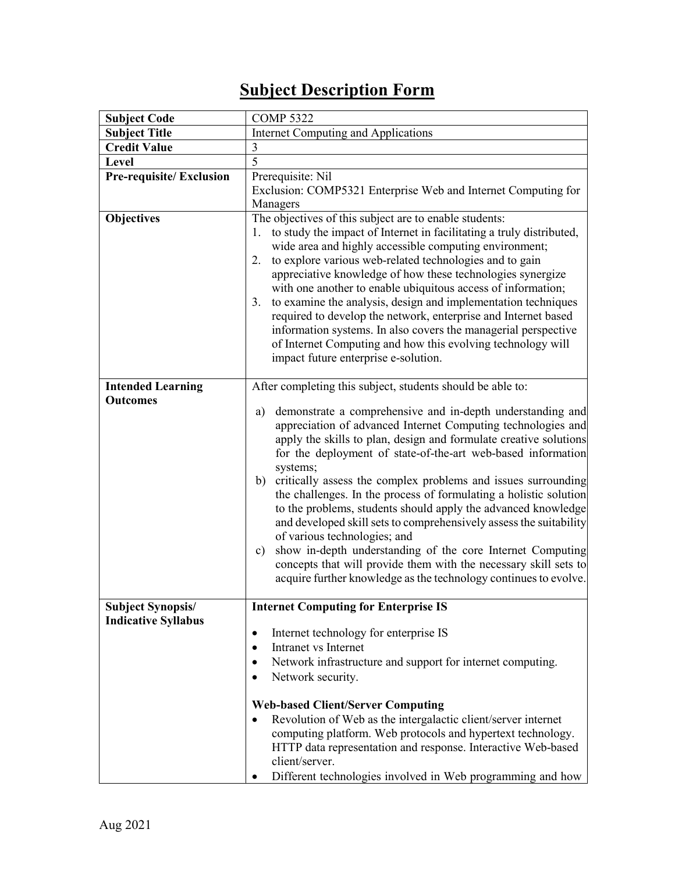## **Subject Description Form**

| <b>Subject Code</b>            | <b>COMP 5322</b>                                                                                                                                                                                                                                                                                                                                                                                                                                                                                                                                                                                                                                                                                                                                                                                                 |  |  |  |  |
|--------------------------------|------------------------------------------------------------------------------------------------------------------------------------------------------------------------------------------------------------------------------------------------------------------------------------------------------------------------------------------------------------------------------------------------------------------------------------------------------------------------------------------------------------------------------------------------------------------------------------------------------------------------------------------------------------------------------------------------------------------------------------------------------------------------------------------------------------------|--|--|--|--|
| <b>Subject Title</b>           | Internet Computing and Applications                                                                                                                                                                                                                                                                                                                                                                                                                                                                                                                                                                                                                                                                                                                                                                              |  |  |  |  |
| <b>Credit Value</b>            | $\mathfrak{Z}$                                                                                                                                                                                                                                                                                                                                                                                                                                                                                                                                                                                                                                                                                                                                                                                                   |  |  |  |  |
| Level                          | 5                                                                                                                                                                                                                                                                                                                                                                                                                                                                                                                                                                                                                                                                                                                                                                                                                |  |  |  |  |
| <b>Pre-requisite/Exclusion</b> | Prerequisite: Nil                                                                                                                                                                                                                                                                                                                                                                                                                                                                                                                                                                                                                                                                                                                                                                                                |  |  |  |  |
|                                | Exclusion: COMP5321 Enterprise Web and Internet Computing for                                                                                                                                                                                                                                                                                                                                                                                                                                                                                                                                                                                                                                                                                                                                                    |  |  |  |  |
|                                | Managers                                                                                                                                                                                                                                                                                                                                                                                                                                                                                                                                                                                                                                                                                                                                                                                                         |  |  |  |  |
| <b>Objectives</b>              | The objectives of this subject are to enable students:<br>to study the impact of Internet in facilitating a truly distributed,<br>1.<br>wide area and highly accessible computing environment;<br>to explore various web-related technologies and to gain<br>2.<br>appreciative knowledge of how these technologies synergize<br>with one another to enable ubiquitous access of information;<br>to examine the analysis, design and implementation techniques<br>3.<br>required to develop the network, enterprise and Internet based<br>information systems. In also covers the managerial perspective<br>of Internet Computing and how this evolving technology will<br>impact future enterprise e-solution.                                                                                                  |  |  |  |  |
| <b>Intended Learning</b>       | After completing this subject, students should be able to:                                                                                                                                                                                                                                                                                                                                                                                                                                                                                                                                                                                                                                                                                                                                                       |  |  |  |  |
| <b>Outcomes</b>                | demonstrate a comprehensive and in-depth understanding and<br>a)<br>appreciation of advanced Internet Computing technologies and<br>apply the skills to plan, design and formulate creative solutions<br>for the deployment of state-of-the-art web-based information<br>systems;<br>critically assess the complex problems and issues surrounding<br>b)<br>the challenges. In the process of formulating a holistic solution<br>to the problems, students should apply the advanced knowledge<br>and developed skill sets to comprehensively assess the suitability<br>of various technologies; and<br>show in-depth understanding of the core Internet Computing<br>c)<br>concepts that will provide them with the necessary skill sets to<br>acquire further knowledge as the technology continues to evolve. |  |  |  |  |
| <b>Subject Synopsis/</b>       | <b>Internet Computing for Enterprise IS</b>                                                                                                                                                                                                                                                                                                                                                                                                                                                                                                                                                                                                                                                                                                                                                                      |  |  |  |  |
| <b>Indicative Syllabus</b>     | Internet technology for enterprise IS<br>٠<br>Intranet vs Internet<br>$\bullet$<br>Network infrastructure and support for internet computing.<br>Network security.<br><b>Web-based Client/Server Computing</b><br>Revolution of Web as the intergalactic client/server internet<br>computing platform. Web protocols and hypertext technology.<br>HTTP data representation and response. Interactive Web-based<br>client/server.<br>Different technologies involved in Web programming and how                                                                                                                                                                                                                                                                                                                   |  |  |  |  |